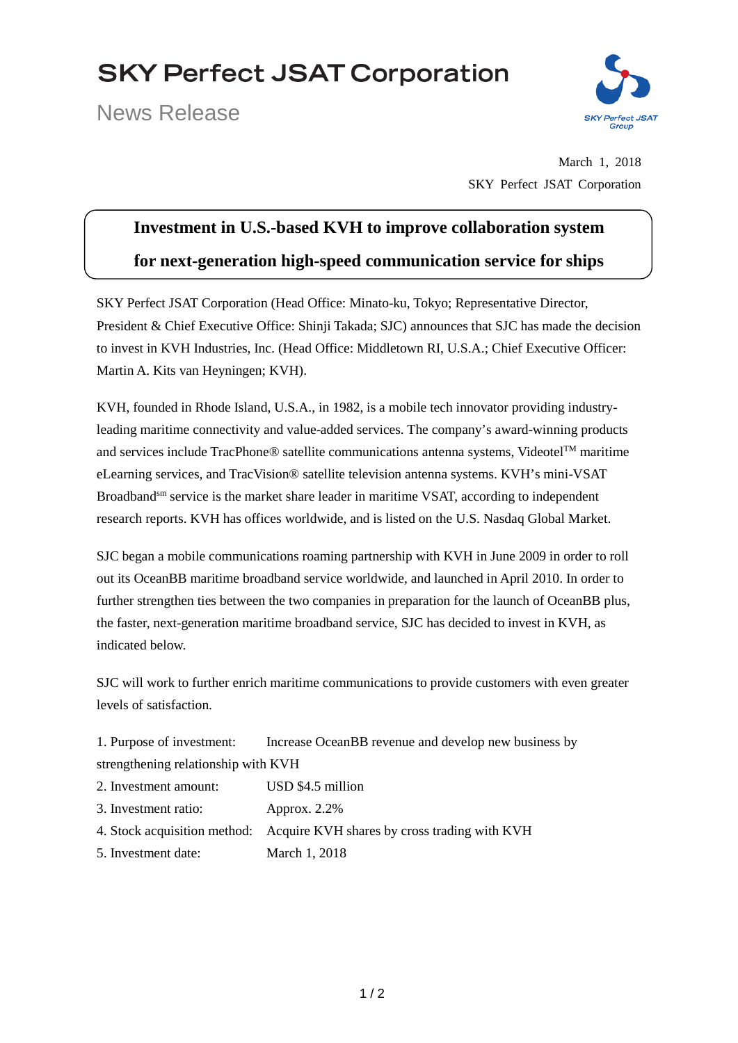# **SKY Perfect JSAT Corporation**

News Release



March 1, 2018 SKY Perfect JSAT Corporation

## **Investment in U.S.-based KVH to improve collaboration system for next-generation high-speed communication service for ships**

SKY Perfect JSAT Corporation (Head Office: Minato-ku, Tokyo; Representative Director, President & Chief Executive Office: Shinji Takada; SJC) announces that SJC has made the decision to invest in KVH Industries, Inc. (Head Office: Middletown RI, U.S.A.; Chief Executive Officer: Martin A. Kits van Heyningen; KVH).

KVH, founded in Rhode Island, U.S.A., in 1982, is a mobile tech innovator providing industryleading maritime connectivity and value-added services. The company's award-winning products and services include TracPhone® satellite communications antenna systems, Videotel™ maritime eLearning services, and TracVision® satellite television antenna systems. KVH's mini-VSAT Broadband<sup>sm</sup> service is the market share leader in maritime VSAT, according to independent research reports. KVH has offices worldwide, and is listed on the U.S. Nasdaq Global Market.

SJC began a mobile communications roaming partnership with KVH in June 2009 in order to roll out its OceanBB maritime broadband service worldwide, and launched in April 2010. In order to further strengthen ties between the two companies in preparation for the launch of OceanBB plus, the faster, next-generation maritime broadband service, SJC has decided to invest in KVH, as indicated below.

SJC will work to further enrich maritime communications to provide customers with even greater levels of satisfaction.

1. Purpose of investment: Increase OceanBB revenue and develop new business by strengthening relationship with KVH

- 2. Investment amount: USD \$4.5 million
- 3. Investment ratio: Approx. 2.2%
- 4. Stock acquisition method: Acquire KVH shares by cross trading with KVH
- 5. Investment date: March 1, 2018